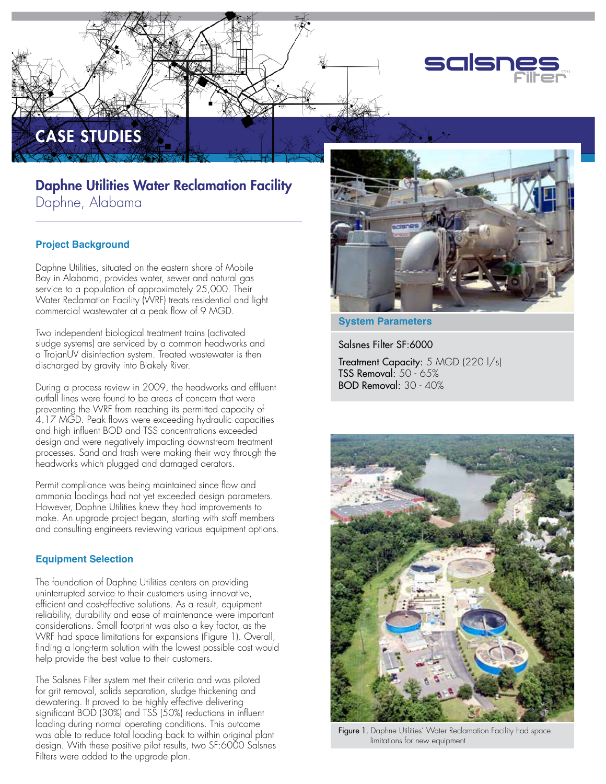

# Daphne Utilities Water Reclamation Facility Daphne, Alabama

# **Project Background**

CASE STUDIES

Daphne Utilities, situated on the eastern shore of Mobile Bay in Alabama, provides water, sewer and natural gas service to a population of approximately 25,000. Their Water Reclamation Facility (WRF) treats residential and light commercial wastewater at a peak flow of 9 MGD.

Two independent biological treatment trains (activated sludge systems) are serviced by a common headworks and a TrojanUV disinfection system. Treated wastewater is then discharged by gravity into Blakely River.

During a process review in 2009, the headworks and effluent outfall lines were found to be areas of concern that were preventing the WRF from reaching its permitted capacity of 4.17 MGD. Peak flows were exceeding hydraulic capacities and high influent BOD and TSS concentrations exceeded design and were negatively impacting downstream treatment processes. Sand and trash were making their way through the headworks which plugged and damaged aerators.

Permit compliance was being maintained since flow and ammonia loadings had not yet exceeded design parameters. However, Daphne Utilities knew they had improvements to make. An upgrade project began, starting with staff members and consulting engineers reviewing various equipment options.

### **Equipment Selection**

The foundation of Daphne Utilities centers on providing uninterrupted service to their customers using innovative, efficient and cost-effective solutions. As a result, equipment reliability, durability and ease of maintenance were important considerations. Small footprint was also a key factor, as the WRF had space limitations for expansions (Figure 1). Overall, finding a long-term solution with the lowest possible cost would help provide the best value to their customers.

The Salsnes Filter system met their criteria and was piloted for grit removal, solids separation, sludge thickening and dewatering. It proved to be highly effective delivering significant BOD (30%) and TSS (50%) reductions in influent loading during normal operating conditions. This outcome was able to reduce total loading back to within original plant design. With these positive pilot results, two SF:6000 Salsnes Filters were added to the upgrade plan.



## **System Parameters**

Salsnes Filter SF:6000 Treatment Capacity: 5 MGD (220 l/s) TSS Removal: 50 - 65% BOD Removal: 30 - 40%



Figure 1. Daphne Utilities' Water Reclamation Facility had space limitations for new equipment